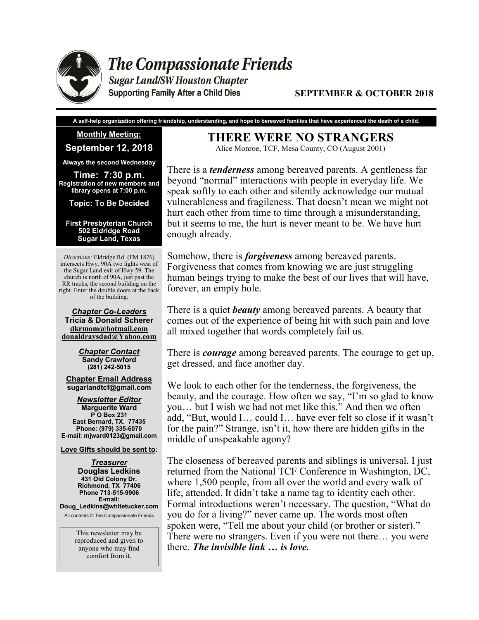

**The Compassionate Friends** 

**Sugar Land/SW Houston Chapter Supporting Family After a Child Dies** 

### **SEPTEMBER & OCTOBER 2018**

**A self-help organization offering friendship, understanding, and hope to bereaved families that have experienced the death of a child.**

### **Monthly Meeting:**

### **September 12, 2018**

**Always the second Wednesday**

**Time: 7:30 p.m. Registration of new members and library opens at 7:00 p.m.** 

**Topic: To Be Decided** 

#### **First Presbyterian Church 502 Eldridge Road Sugar Land, Texas**

*Directions:* Eldridge Rd. (FM 1876) intersects Hwy. 90A two lights west of the Sugar Land exit of Hwy 59. The church is north of 90A, just past the RR tracks, the second building on the right. Enter the double doors at the back of the building.

*Chapter Co-Leaders* **Tricia & Donald Scherer dkrmom@hotmail.com donaldraysdad@Yahoo.com**

> *Chapter Contact* **Sandy Crawford (281) 242-5015**

**Chapter Email Address sugarlandtcf@gmail.com**

*Newsletter Editor* **Marguerite Ward P O Box 231 East Bernard, TX. 77435 Phone: (979) 335-6070 E-mail: mjward0123@gmail.com**

**Love Gifts should be sent to:**

*Treasurer* **Douglas Ledkins 431 Old Colony Dr. Richmond, TX 77406 Phone 713-515-9906 E-mail:** 

**Doug\_Ledkins@whitetucker.com** All contents © The Compassionate Friends

> This newsletter may be reproduced and given to anyone who may find comfort from it.

## **THERE WERE NO STRANGERS**

Alice Monroe, TCF, Mesa County, CO (August 2001)

There is a *tenderness* among bereaved parents. A gentleness far beyond "normal" interactions with people in everyday life. We speak softly to each other and silently acknowledge our mutual vulnerableness and fragileness. That doesn't mean we might not hurt each other from time to time through a misunderstanding, but it seems to me, the hurt is never meant to be. We have hurt enough already.

Somehow, there is *forgiveness* among bereaved parents. Forgiveness that comes from knowing we are just struggling human beings trying to make the best of our lives that will have, forever, an empty hole.

There is a quiet *beauty* among bereaved parents. A beauty that comes out of the experience of being hit with such pain and love all mixed together that words completely fail us.

There is *courage* among bereaved parents. The courage to get up, get dressed, and face another day.

We look to each other for the tenderness, the forgiveness, the beauty, and the courage. How often we say, "I'm so glad to know you… but I wish we had not met like this." And then we often add, "But, would I… could I… have ever felt so close if it wasn't for the pain?" Strange, isn't it, how there are hidden gifts in the middle of unspeakable agony?

The closeness of bereaved parents and siblings is universal. I just returned from the National TCF Conference in Washington, DC, where 1,500 people, from all over the world and every walk of life, attended. It didn't take a name tag to identity each other. Formal introductions weren't necessary. The question, "What do you do for a living?" never came up. The words most often spoken were, "Tell me about your child (or brother or sister)." There were no strangers. Even if you were not there… you were there. *The invisible link … is love.*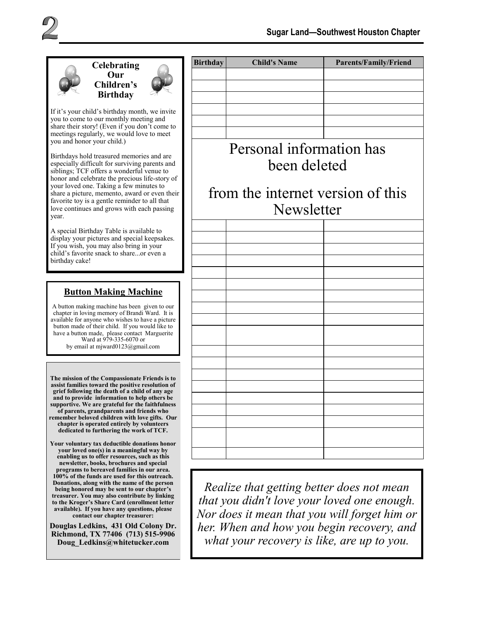



If it's your child's birthday month, we invite you to come to our monthly meeting and share their story! (Even if you don't come to meetings regularly, we would love to meet you and honor your child.)

Birthdays hold treasured memories and are especially difficult for surviving parents and siblings; TCF offers a wonderful venue to honor and celebrate the precious life-story of your loved one. Taking a few minutes to share a picture, memento, award or even their favorite toy is a gentle reminder to all that love continues and grows with each passing year.

A special Birthday Table is available to display your pictures and special keepsakes. If you wish, you may also bring in your child's favorite snack to share...or even a birthday cake!

### **Button Making Machine**

A button making machine has been given to our chapter in loving memory of Brandi Ward. It is available for anyone who wishes to have a picture button made of their child. If you would like to have a button made, please contact Marguerite Ward at 979-335-6070 or by email at mjward0123@gmail.com

**The mission of the Compassionate Friends is to assist families toward the positive resolution of grief following the death of a child of any age and to provide information to help others be supportive. We are grateful for the faithfulness of parents, grandparents and friends who remember beloved children with love gifts. Our chapter is operated entirely by volunteers** 

**dedicated to furthering the work of TCF.** 

**Your voluntary tax deductible donations honor your loved one(s) in a meaningful way by enabling us to offer resources, such as this newsletter, books, brochures and special programs to bereaved families in our area. 100% of the funds are used for this outreach. Donations, along with the name of the person being honored may be sent to our chapter's treasurer. You may also contribute by linking to the Kroger's Share Card (enrollment letter available). If you have any questions, please contact our chapter treasurer:** 

**Douglas Ledkins, 431 Old Colony Dr. Richmond, TX 77406 (713) 515-9906 Doug\_Ledkins@whitetucker.com**

| <b>Birthday</b> | <b>Child's Name</b> | <b>Parents/Family/Friend</b> |
|-----------------|---------------------|------------------------------|
|                 |                     |                              |
|                 |                     |                              |
|                 |                     |                              |
|                 |                     |                              |
|                 |                     |                              |
|                 |                     |                              |

# Personal information has been deleted

# from the internet version of this **Newsletter**

*Realize that getting better does not mean that you didn't love your loved one enough. Nor does it mean that you will forget him or her. When and how you begin recovery, and what your recovery is like, are up to you.*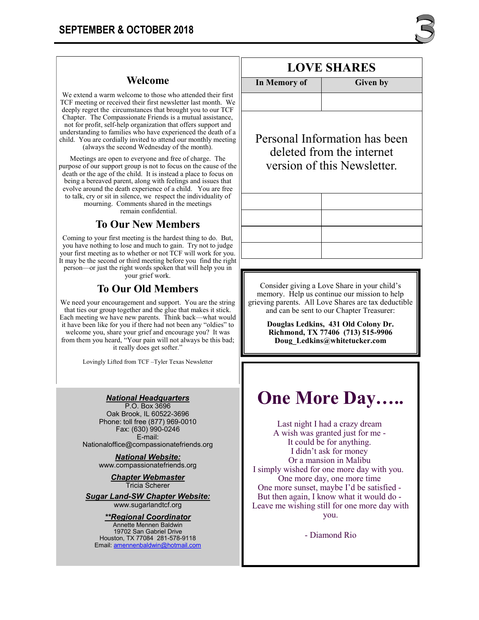We extend a warm welcome to those who attended their first TCF meeting or received their first newsletter last month. We deeply regret the circumstances that brought you to our TCF Chapter. The Compassionate Friends is a mutual assistance, not for profit, self-help organization that offers support and understanding to families who have experienced the death of a child. You are cordially invited to attend our monthly meeting (always the second Wednesday of the month).

Meetings are open to everyone and free of charge. The purpose of our support group is not to focus on the cause of the death or the age of the child. It is instead a place to focus on being a bereaved parent, along with feelings and issues that evolve around the death experience of a child. You are free to talk, cry or sit in silence, we respect the individuality of mourning. Comments shared in the meetings remain confidential.

## **To Our New Members**

Coming to your first meeting is the hardest thing to do. But, you have nothing to lose and much to gain. Try not to judge your first meeting as to whether or not TCF will work for you. It may be the second or third meeting before you find the right person—or just the right words spoken that will help you in your grief work.

## **To Our Old Members**

We need your encouragement and support. You are the string that ties our group together and the glue that makes it stick. Each meeting we have new parents. Think back—what would it have been like for you if there had not been any "oldies" to welcome you, share your grief and encourage you? It was from them you heard, "Your pain will not always be this bad; it really does get softer."

Lovingly Lifted from TCF –Tyler Texas Newsletter

### *National Headquarters*

P.O. Box 3696 Oak Brook, IL 60522-3696 Phone: toll free (877) 969-0010 Fax: (630) 990-0246 E-mail: Nationaloffice@compassionatefriends.org

*National Website:*  www.compassionatefriends.org

> *Chapter Webmaster* Tricia Scherer

*Sugar Land-SW Chapter Website:* www.sugarlandtcf.org

> *\*\*Regional Coordinator* Annette Mennen Baldwin

19702 San Gabriel Drive Houston, TX 77084 281-578-9118 Email: [amennenbaldwin@hotmail.com](mailto:Emaamennenbaldwin@hotmail.com)

# **LOVE SHARES**

**In Memory of** Given by

Personal Information has been deleted from the internet version of this Newsletter.



Consider giving a Love Share in your child's memory. Help us continue our mission to help grieving parents. All Love Shares are tax deductible and can be sent to our Chapter Treasurer:

> **Douglas Ledkins, 431 Old Colony Dr. Richmond, TX 77406 (713) 515-9906 Doug\_Ledkins@whitetucker.com**

# **One More Day…..**

Last night I had a crazy dream A wish was granted just for me - It could be for anything. I didn't ask for money Or a mansion in Malibu I simply wished for one more day with you. One more day, one more time One more sunset, maybe I'd be satisfied - But then again, I know what it would do - Leave me wishing still for one more day with you.

- Diamond Rio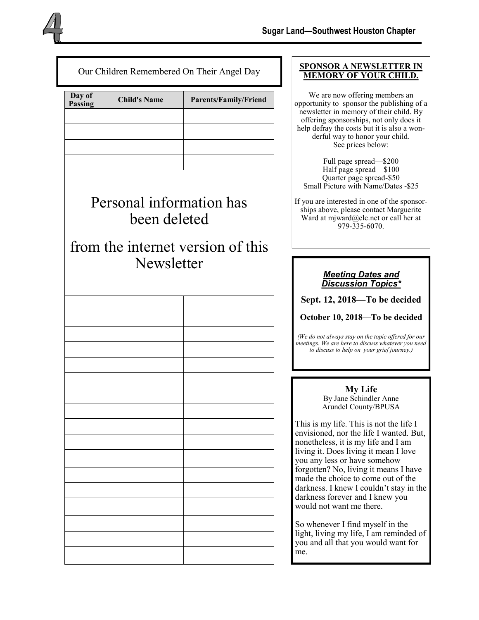| Our Children Remembered On Their Angel Day |                     | <b>SPONSOR A NEWSLETTER IN</b><br><b>MEMORY OF YOUR CHILD.</b>                                                                                                                                                                                                          |                                                                                                                                                                                                                                                                                                                                                                                                                                                                                                                          |
|--------------------------------------------|---------------------|-------------------------------------------------------------------------------------------------------------------------------------------------------------------------------------------------------------------------------------------------------------------------|--------------------------------------------------------------------------------------------------------------------------------------------------------------------------------------------------------------------------------------------------------------------------------------------------------------------------------------------------------------------------------------------------------------------------------------------------------------------------------------------------------------------------|
| Day of<br><b>Passing</b>                   | <b>Child's Name</b> | <b>Parents/Family/Friend</b>                                                                                                                                                                                                                                            | We are now offering members an<br>opportunity to sponsor the publishing of a<br>newsletter in memory of their child. By<br>offering sponsorships, not only does it<br>help defray the costs but it is also a won-<br>derful way to honor your child.<br>See prices below:                                                                                                                                                                                                                                                |
| Personal information has                   | been deleted        | Full page spread-\$200<br>Half page spread-\$100<br>Quarter page spread-\$50<br>Small Picture with Name/Dates -\$25<br>If you are interested in one of the sponsor-<br>ships above, please contact Marguerite<br>Ward at mjward@elc.net or call her at<br>979-335-6070. |                                                                                                                                                                                                                                                                                                                                                                                                                                                                                                                          |
| from the internet version of this          |                     |                                                                                                                                                                                                                                                                         |                                                                                                                                                                                                                                                                                                                                                                                                                                                                                                                          |
|                                            | Newsletter          |                                                                                                                                                                                                                                                                         |                                                                                                                                                                                                                                                                                                                                                                                                                                                                                                                          |
|                                            |                     |                                                                                                                                                                                                                                                                         | <b>Meeting Dates and</b><br><b>Discussion Topics*</b>                                                                                                                                                                                                                                                                                                                                                                                                                                                                    |
|                                            |                     |                                                                                                                                                                                                                                                                         | Sept. 12, 2018—To be decided                                                                                                                                                                                                                                                                                                                                                                                                                                                                                             |
|                                            |                     |                                                                                                                                                                                                                                                                         | October 10, 2018-To be decided                                                                                                                                                                                                                                                                                                                                                                                                                                                                                           |
|                                            |                     |                                                                                                                                                                                                                                                                         | (We do not always stay on the topic offered for our<br>meetings. We are here to discuss whatever you need<br>to discuss to help on your grief journey.)                                                                                                                                                                                                                                                                                                                                                                  |
|                                            |                     |                                                                                                                                                                                                                                                                         |                                                                                                                                                                                                                                                                                                                                                                                                                                                                                                                          |
|                                            |                     |                                                                                                                                                                                                                                                                         | <b>My Life</b><br>By Jane Schindler Anne<br>Arundel County/BPUSA                                                                                                                                                                                                                                                                                                                                                                                                                                                         |
|                                            |                     |                                                                                                                                                                                                                                                                         | This is my life. This is not the life I<br>envisioned, nor the life I wanted. But,<br>nonetheless, it is my life and I am<br>living it. Does living it mean I love<br>you any less or have somehow<br>forgotten? No, living it means I have<br>made the choice to come out of the<br>darkness. I knew I couldn't stay in the<br>darkness forever and I knew you<br>would not want me there.<br>So whenever I find myself in the<br>light, living my life, I am reminded of<br>you and all that you would want for<br>me. |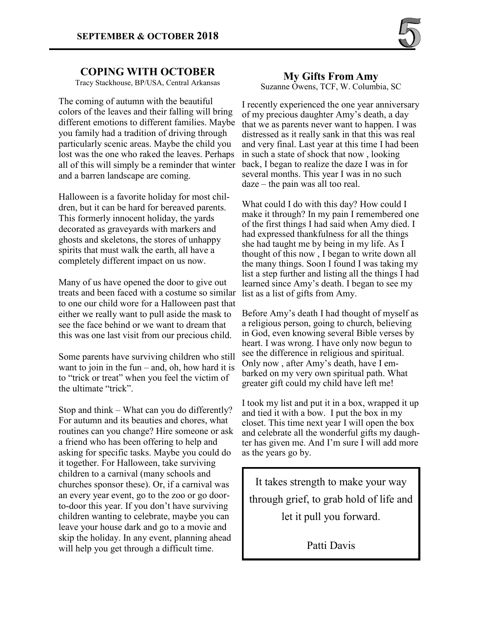

### **COPING WITH OCTOBER**

Tracy Stackhouse, BP/USA, Central Arkansas

The coming of autumn with the beautiful colors of the leaves and their falling will bring different emotions to different families. Maybe you family had a tradition of driving through particularly scenic areas. Maybe the child you lost was the one who raked the leaves. Perhaps all of this will simply be a reminder that winter and a barren landscape are coming.

Halloween is a favorite holiday for most children, but it can be hard for bereaved parents. This formerly innocent holiday, the yards decorated as graveyards with markers and ghosts and skeletons, the stores of unhappy spirits that must walk the earth, all have a completely different impact on us now.

Many of us have opened the door to give out treats and been faced with a costume so similar to one our child wore for a Halloween past that either we really want to pull aside the mask to see the face behind or we want to dream that this was one last visit from our precious child.

Some parents have surviving children who still want to join in the fun – and, oh, how hard it is to "trick or treat" when you feel the victim of the ultimate "trick".

Stop and think – What can you do differently? For autumn and its beauties and chores, what routines can you change? Hire someone or ask a friend who has been offering to help and asking for specific tasks. Maybe you could do it together. For Halloween, take surviving children to a carnival (many schools and churches sponsor these). Or, if a carnival was an every year event, go to the zoo or go doorto-door this year. If you don't have surviving children wanting to celebrate, maybe you can leave your house dark and go to a movie and skip the holiday. In any event, planning ahead will help you get through a difficult time.

**My Gifts From Amy**  Suzanne Owens, TCF, W. Columbia, SC

I recently experienced the one year anniversary of my precious daughter Amy's death, a day that we as parents never want to happen. I was distressed as it really sank in that this was real and very final. Last year at this time I had been in such a state of shock that now , looking back, I began to realize the daze I was in for several months. This year I was in no such daze – the pain was all too real.

What could I do with this day? How could I make it through? In my pain I remembered one of the first things I had said when Amy died. I had expressed thankfulness for all the things she had taught me by being in my life. As I thought of this now , I began to write down all the many things. Soon I found I was taking my list a step further and listing all the things I had learned since Amy's death. I began to see my list as a list of gifts from Amy.

Before Amy's death I had thought of myself as a religious person, going to church, believing in God, even knowing several Bible verses by heart. I was wrong. I have only now begun to see the difference in religious and spiritual. Only now , after Amy's death, have I embarked on my very own spiritual path. What greater gift could my child have left me!

I took my list and put it in a box, wrapped it up and tied it with a bow. I put the box in my closet. This time next year I will open the box and celebrate all the wonderful gifts my daughter has given me. And I'm sure I will add more as the years go by.

It takes strength to make your way through grief, to grab hold of life and let it pull you forward.

Patti Davis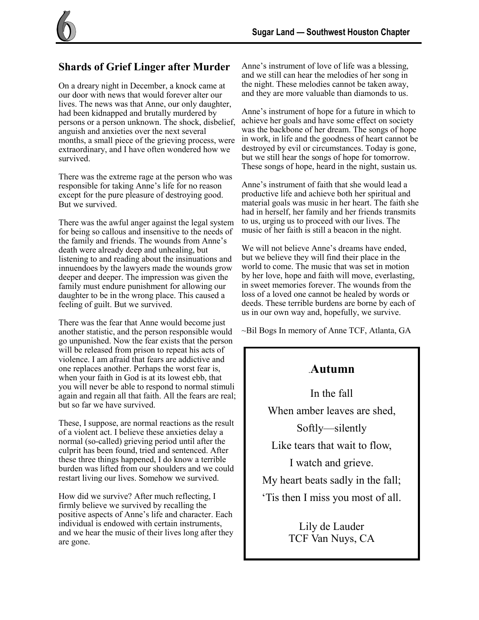## **Shards of Grief Linger after Murder**

On a dreary night in December, a knock came at our door with news that would forever alter our lives. The news was that Anne, our only daughter, had been kidnapped and brutally murdered by persons or a person unknown. The shock, disbelief, anguish and anxieties over the next several months, a small piece of the grieving process, were extraordinary, and I have often wondered how we survived.

There was the extreme rage at the person who was responsible for taking Anne's life for no reason except for the pure pleasure of destroying good. But we survived.

There was the awful anger against the legal system for being so callous and insensitive to the needs of the family and friends. The wounds from Anne's death were already deep and unhealing, but listening to and reading about the insinuations and innuendoes by the lawyers made the wounds grow deeper and deeper. The impression was given the family must endure punishment for allowing our daughter to be in the wrong place. This caused a feeling of guilt. But we survived.

There was the fear that Anne would become just another statistic, and the person responsible would go unpunished. Now the fear exists that the person will be released from prison to repeat his acts of violence. I am afraid that fears are addictive and one replaces another. Perhaps the worst fear is, when your faith in God is at its lowest ebb, that you will never be able to respond to normal stimuli again and regain all that faith. All the fears are real; but so far we have survived.

These, I suppose, are normal reactions as the result of a violent act. I believe these anxieties delay a normal (so-called) grieving period until after the culprit has been found, tried and sentenced. After these three things happened, I do know a terrible burden was lifted from our shoulders and we could restart living our lives. Somehow we survived.

How did we survive? After much reflecting, I firmly believe we survived by recalling the positive aspects of Anne's life and character. Each individual is endowed with certain instruments, and we hear the music of their lives long after they are gone.

Anne's instrument of love of life was a blessing, and we still can hear the melodies of her song in the night. These melodies cannot be taken away, and they are more valuable than diamonds to us.

Anne's instrument of hope for a future in which to achieve her goals and have some effect on society was the backbone of her dream. The songs of hope in work, in life and the goodness of heart cannot be destroyed by evil or circumstances. Today is gone, but we still hear the songs of hope for tomorrow. These songs of hope, heard in the night, sustain us.

Anne's instrument of faith that she would lead a productive life and achieve both her spiritual and material goals was music in her heart. The faith she had in herself, her family and her friends transmits to us, urging us to proceed with our lives. The music of her faith is still a beacon in the night.

We will not believe Anne's dreams have ended, but we believe they will find their place in the world to come. The music that was set in motion by her love, hope and faith will move, everlasting, in sweet memories forever. The wounds from the loss of a loved one cannot be healed by words or deeds. These terrible burdens are borne by each of us in our own way and, hopefully, we survive.

~Bil Bogs In memory of Anne TCF, Atlanta, GA

# .**Autumn**

In the fall When amber leaves are shed, Softly—silently Like tears that wait to flow, I watch and grieve. My heart beats sadly in the fall; ʻTis then I miss you most of all.

> Lily de Lauder TCF Van Nuys, CA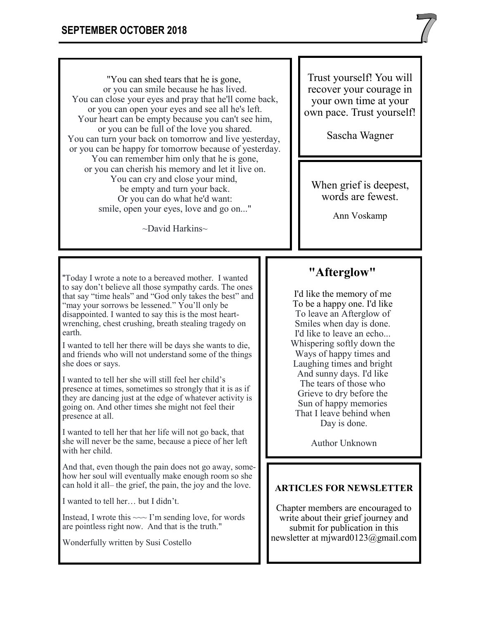"You can shed tears that he is gone, or you can smile because he has lived. You can close your eyes and pray that he'll come back, or you can open your eyes and see all he's left. Your heart can be empty because you can't see him, or you can be full of the love you shared. You can turn your back on tomorrow and live yesterday, or you can be happy for tomorrow because of yesterday. You can remember him only that he is gone, or you can cherish his memory and let it live on. You can cry and close your mind, be empty and turn your back. Or you can do what he'd want: smile, open your eyes, love and go on..."

 $\sim$ David Harkins $\sim$ 

"Today I wrote a note to a bereaved mother. I wanted to say don't believe all those sympathy cards. The ones that say "time heals" and "God only takes the best" and "may your sorrows be lessened." You'll only be disappointed. I wanted to say this is the most heartwrenching, chest crushing, breath stealing tragedy on earth.

I wanted to tell her there will be days she wants to die, and friends who will not understand some of the things she does or says.

I wanted to tell her she will still feel her child's presence at times, sometimes so strongly that it is as if they are dancing just at the edge of whatever activity is going on. And other times she might not feel their presence at all.

I wanted to tell her that her life will not go back, that she will never be the same, because a piece of her left with her child.

And that, even though the pain does not go away, somehow her soul will eventually make enough room so she can hold it all– the grief, the pain, the joy and the love.

I wanted to tell her… but I didn't.

Instead, I wrote this  $\sim$  I'm sending love, for words are pointless right now. And that is the truth."

Wonderfully written by Susi Costello

Trust yourself! You will recover your courage in your own time at your own pace. Trust yourself!

Sascha Wagner

When grief is deepest, words are fewest.

Ann Voskamp

# **"Afterglow"**

I'd like the memory of me To be a happy one. I'd like To leave an Afterglow of Smiles when day is done. I'd like to leave an echo... Whispering softly down the Ways of happy times and Laughing times and bright And sunny days. I'd like The tears of those who Grieve to dry before the Sun of happy memories That I leave behind when Day is done.

Author Unknown

### **ARTICLES FOR NEWSLETTER**

Chapter members are encouraged to write about their grief journey and submit for publication in this newsletter at mjward0123@gmail.com